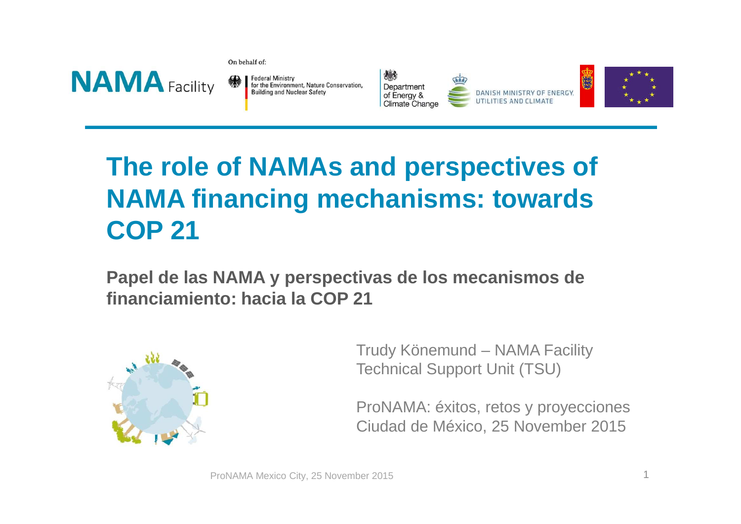

On behalf of:

**Federal Ministry** for the Environment, Nature Conservation, **Building and Nuclear Safety** 



DANISH MINISTRY OF ENERGY,



## **The role of NAMAs and perspectives of NAMA financing mechanisms: towards COP 21**

**Papel de las NAMA y perspectivas de los mecanismos de financiamiento: hacia la COP 21**



Trudy Könemund – NAMA FacilityTechnical Support Unit (TSU)

ProNAMA: éxitos, retos y proyeccionesCiudad de México, 25 November 2015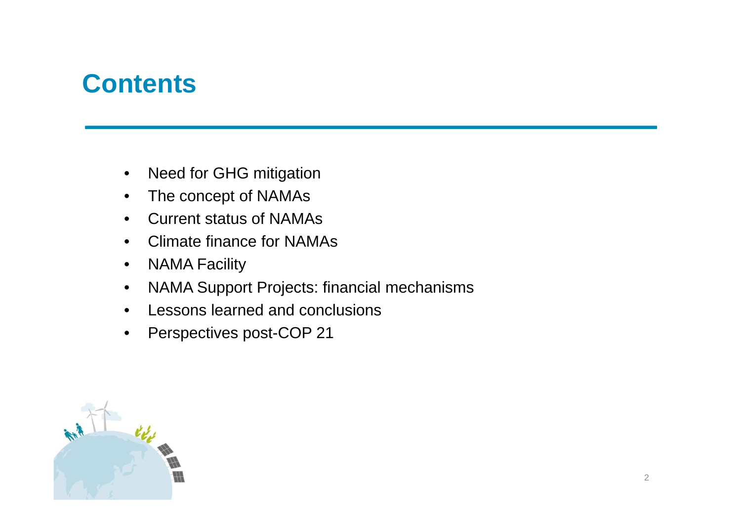### **Contents**

- $\bullet$ Need for GHG mitigation
- The concept of NAMAs $\bullet$
- $\bullet$ Current status of NAMAs
- $\bullet$ Climate finance for NAMAs
- $\bullet$ NAMA Facility
- $\bullet$ NAMA Support Projects: financial mechanisms
- •Lessons learned and conclusions
- $\bullet$ Perspectives post-COP 21

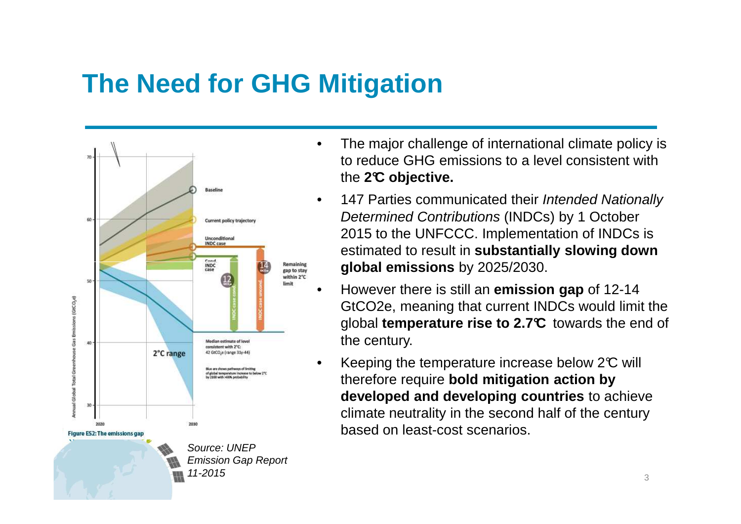## **The Need for GHG Mitigation**



- • The major challenge of international climate policy is to reduce GHG emissions to a level consistent with the **2°C objective.**
- •147 Parties communicated their Intended Nationally Determined Contributions (INDCs) by 1 October 2015 to the UNFCCC. Implementation of INDCs is estimated to result in **substantially slowing down global emissions** by 2025/2030.
- • However there is still an **emission gap** of 12-14 GtCO2e, meaning that current INDCs would limit the global **temperature rise to 2.7°C** towards the end of the century.
- •Keeping the temperature increase below  $2^{\circ}$  will therefore require **bold mitigation action by developed and developing countries** to achieve climate neutrality in the second half of the century based on least-cost scenarios.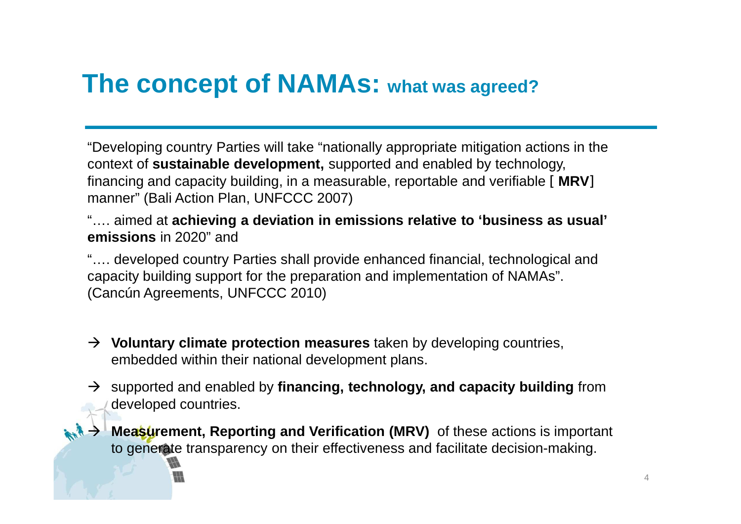### **The concept of NAMAs: what was agreed?**

"Developing country Parties will take "nationally appropriate mitigation actions in the context of **sustainable development,** supported and enabled by technology, financing and capacity building, in a measurable, reportable and verifiable [ **MRV**] manner" (Bali Action Plan, UNFCCC 2007)

"…. aimed at **achieving a deviation in emissions relative to 'business as usual' emissions** in 2020" and

"…. developed country Parties shall provide enhanced financial, technological and capacity building support for the preparation and implementation of NAMAs". (Cancún Agreements, UNFCCC 2010)

- → **Voluntary climate protection measures** taken by developing countries,<br>embedded within their national development plans embedded within their national development plans.
- supported and enabled by **financing, technology, and capacity building** from developed countries.
- $\rightarrow$ **Measurement, Reporting and Verification (MRV)** of these actions is important to generate transparency on their effectiveness and facilitate decision-making.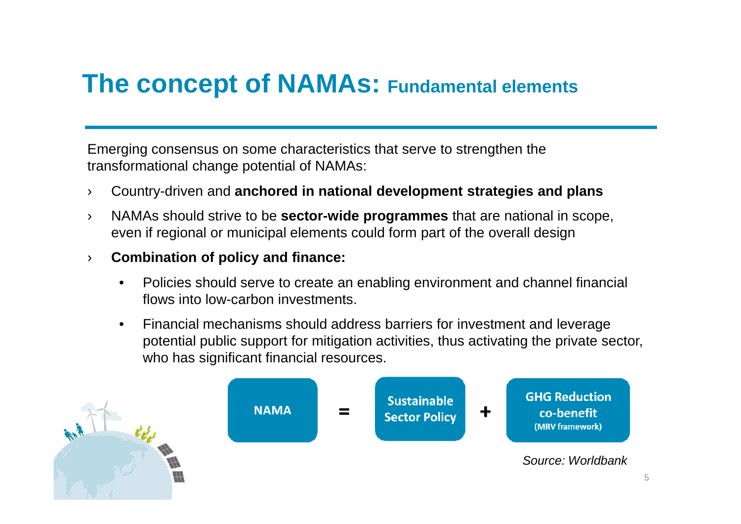### **The concept of NAMAs: Fundamental elements**

Emerging consensus on some characteristics that serve to strengthen the transformational change potential of NAMAs:

- ›Country-driven and **anchored in national development strategies and plans**
- › NAMAs should strive to be **sector-wide programmes** that are national in scope, even if regional or municipal elements could form part of the overall design
- › **Combination of policy and finance:**
	- • Policies should serve to create an enabling environment and channel financial flows into low-carbon investments.
	- • Financial mechanisms should address barriers for investment and leverage potential public support for mitigation activities, thus activating the private sector, who has significant financial resources.

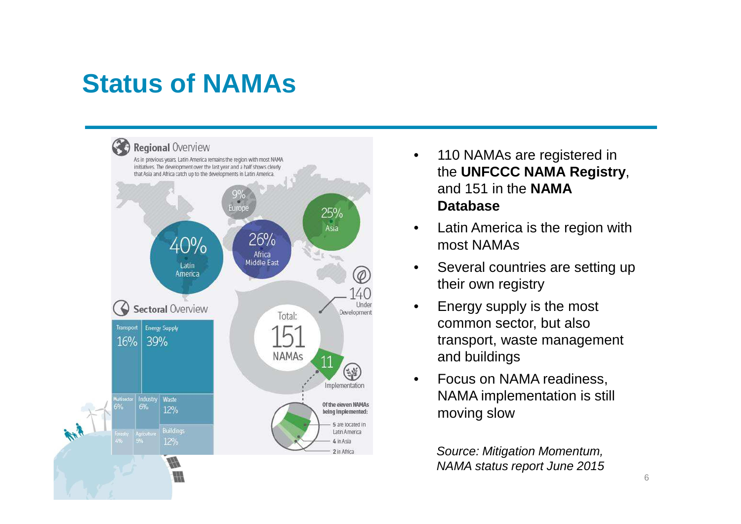## **Status of NAMAs**



- • 110 NAMAs are registered in the **UNFCCC NAMA Registry**, and 151 in the **NAMA Database**
- • Latin America is the region with most NAMAs
- • Several countries are setting up their own registry
- • Energy supply is the most common sector, but also transport, waste management and buildings
- • Focus on NAMA readiness, NAMA implementation is still moving slow

Source: Mitigation Momentum, NAMA status report June 2015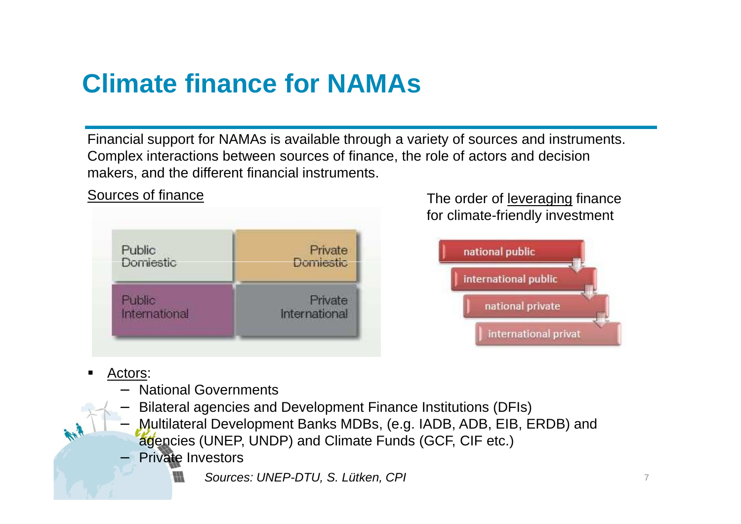## **Climate finance for NAMAs**

Financial support for NAMAs is available through a variety of sources and instruments. Complex interactions between sources of finance, the role of actors and decision makers, and the different financial instruments.

| Public        | Private       |
|---------------|---------------|
| Domiestic     | Domiestic     |
| <b>Public</b> | Private       |
| International | International |

Sources of finance

e and the order of <u>leveraging</u> finance for climate-friendly investment



Actors:

−

- National Governments
- − Bilateral agencies and Development Finance Institutions (DFIs)
	- Multilateral Development Banks MDBs, (e.g. IADB, ADB, EIB, ERDB) and agencies (UNEP, UNDP) and Climate Funds (GCF, CIF etc.)
- Private Investors
	- Sources: UNEP-DTU, S. Lütken, CPI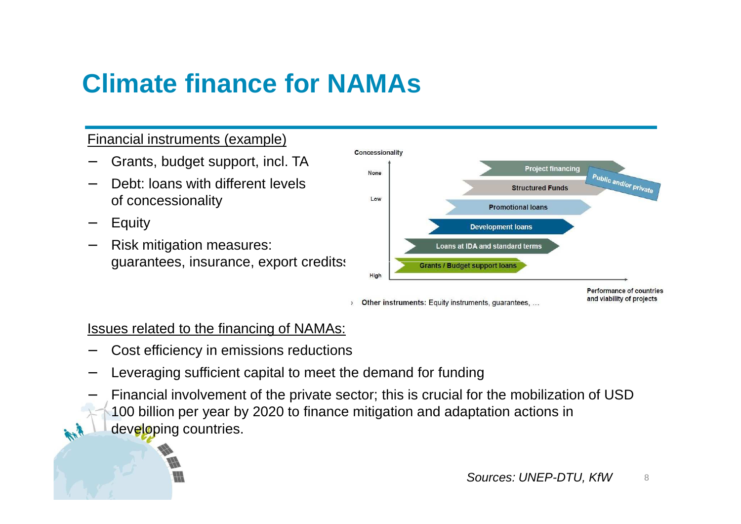## **Climate finance for NAMAs**

#### Financial instruments (example)

- −Grants, budget support, incl. TA
- Debt: loans with different levels of concessionality
- −Equity

−

 Risk mitigation measures: guarantees, insurance, export creditss



Issues related to the financing of NAMAs:

- Cost efficiency in emissions reductions
- − Leveraging sufficient capital to meet the demand for funding
	- Financial involvement of the private sector; this is crucial for the mobilization of USD 100 billion per year by 2020 to finance mitigation and adaptation actions in developing countries.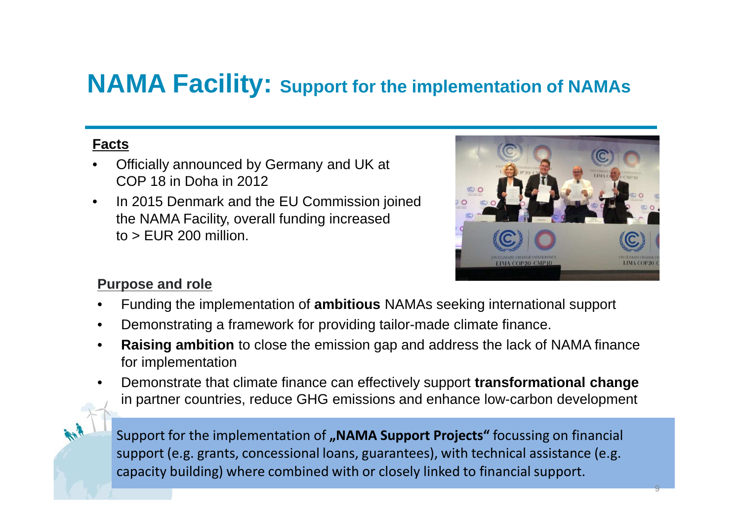### **NAMA Facility: Support for the implementation of NAMAs**

#### **Facts**

- • Officially announced by Germany and UK at COP 18 in Doha in 2012
- $\bullet$  In 2015 Denmark and the EU Commission joined the NAMA Facility, overall funding increased  $to$   $>$  EUR 200 million.



#### **Purpose and role**

- •Funding the implementation of **ambitious** NAMAs seeking international support
- •Demonstrating a framework for providing tailor-made climate finance.
- • **Raising ambition** to close the emission gap and address the lack of NAMA finance for implementation
- • Demonstrate that climate finance can effectively support **transformational change**  in partner countries, reduce GHG emissions and enhance low-carbon development



Support for the implementation of **"NAMA Support Projects"** focussing on financial support (e.g. grants, concessional loans, guarantees), with technical assistance (e.g. capacity building) where combined with or closely linked to financial support.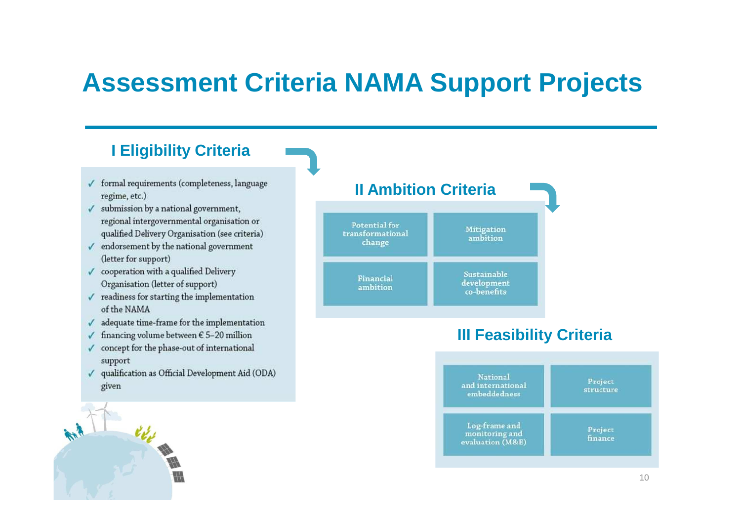### **Assessment Criteria NAMA Support Projects**

#### **I Eligibility Criteria**

- $\checkmark$  formal requirements (completeness, language regime, etc.)
- $\checkmark$  submission by a national government, regional intergovernmental organisation or qualified Delivery Organisation (see criteria)
- $\checkmark$  endorsement by the national government (letter for support)
- $\checkmark$  cooperation with a qualified Delivery Organisation (letter of support)
- $\checkmark$  readiness for starting the implementation of the NAMA
- $\checkmark$  adequate time-frame for the implementation
- $\checkmark$  financing volume between  $\epsilon$  5-20 million
- $\checkmark$  concept for the phase-out of international support
- $\checkmark$  qualification as Official Development Aid (ODA) given





#### **III Feasibility Criteria**

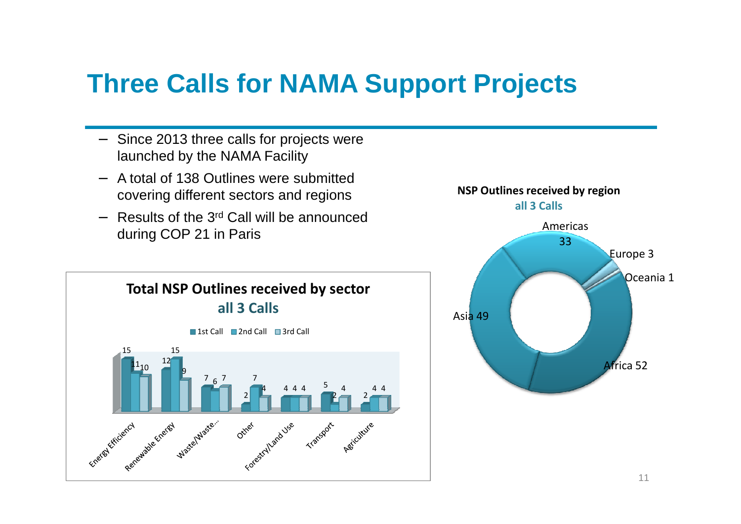### **Three Calls for NAMA Support Projects**

- − Since 2013 three calls for projects were launched by the NAMA Facility
- − A total of 138 Outlines were submitted covering different sectors and regions
- − Results of the 3rd Call will be announced during COP 21 in Paris



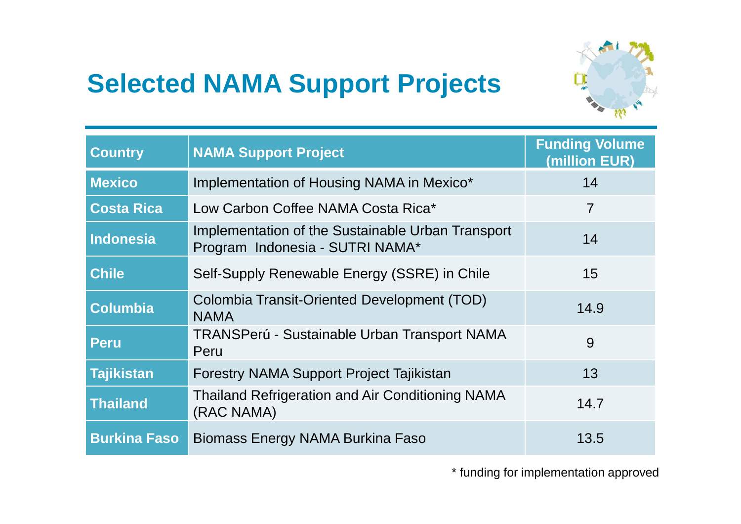## **Selected NAMA Support Projects**



| <b>Country</b>      | <b>NAMA Support Project</b>                                                          | <b>Funding Volume</b><br>(million EUR) |
|---------------------|--------------------------------------------------------------------------------------|----------------------------------------|
| <b>Mexico</b>       | Implementation of Housing NAMA in Mexico*                                            | 14                                     |
| <b>Costa Rica</b>   | Low Carbon Coffee NAMA Costa Rica*                                                   | $\overline{7}$                         |
| <b>Indonesia</b>    | Implementation of the Sustainable Urban Transport<br>Program Indonesia - SUTRI NAMA* | 14                                     |
| <b>Chile</b>        | Self-Supply Renewable Energy (SSRE) in Chile                                         | 15                                     |
| <b>Columbia</b>     | Colombia Transit-Oriented Development (TOD)<br><b>NAMA</b>                           | 14.9                                   |
| <b>Peru</b>         | TRANSPerú - Sustainable Urban Transport NAMA<br>Peru                                 | 9                                      |
| <b>Tajikistan</b>   | Forestry NAMA Support Project Tajikistan                                             | 13                                     |
| <b>Thailand</b>     | <b>Thailand Refrigeration and Air Conditioning NAMA</b><br>(RAC NAMA)                | 14.7                                   |
| <b>Burkina Faso</b> | Biomass Energy NAMA Burkina Faso                                                     | 13.5                                   |

\* funding for implementation approved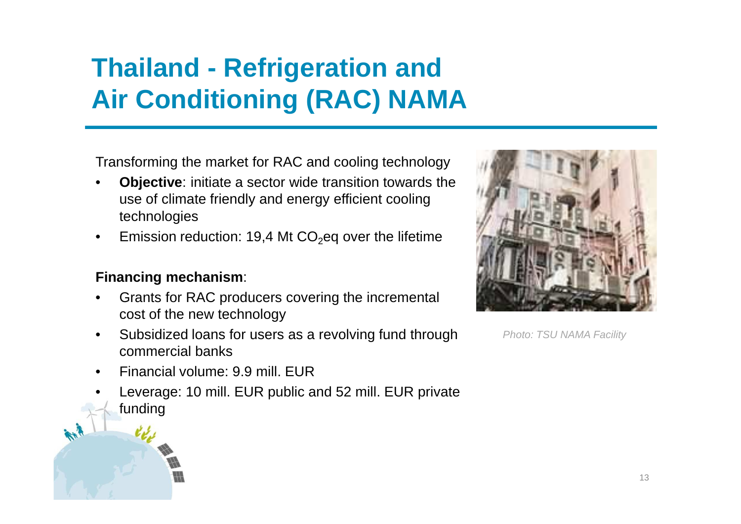## **Thailand - Refrigeration and Air Conditioning (RAC) NAMA**

Transforming the market for RAC and cooling technology

- • **Objective**: initiate a sector wide transition towards the use of climate friendly and energy efficient cooling technologies
- •Emission reduction: 19,4 Mt  $CO<sub>2</sub>$ eq over the lifetime

#### **Financing mechanism**:

- • Grants for RAC producers covering the incremental cost of the new technology
- • Subsidized loans for users as a revolving fund through commercial banks
- •Financial volume: 9.9 mill. EUR
- Leverage: 10 mill. EUR public and 52 mill. EUR private •funding



Photo: TSU NAMA Facility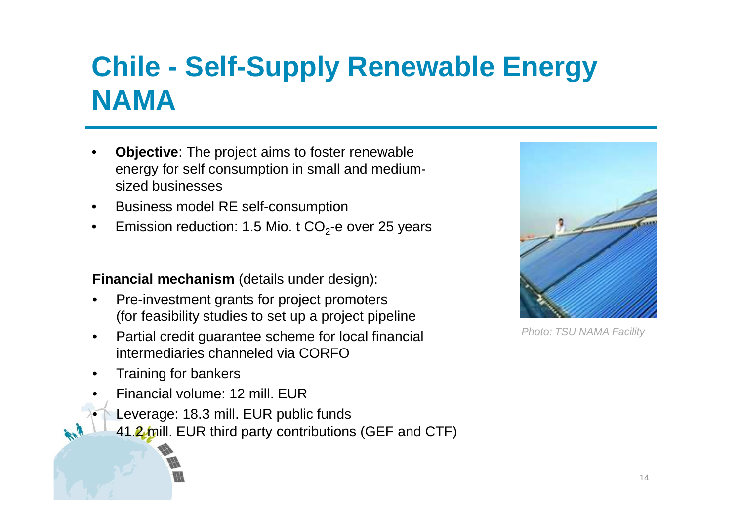## **Chile - Self-Supply Renewable Energy NAMA**

- • **Objective**: The project aims to foster renewable energy for self consumption in small and mediumsized businesses
- $\bullet$ Business model RE self-consumption
- $\bullet$ Emission reduction: 1.5 Mio. t  $CO<sub>2</sub>$ -e over 25 years

**Financial mechanism** (details under design):

- $\bullet$  Pre-investment grants for project promoters (for feasibility studies to set up a project pipeline
- Partial credit guarantee scheme for local financial  $\bullet$ intermediaries channeled via CORFO
- $\bullet$ Training for bankers

•

- • Financial volume: 12 mill. EUR
	- Leverage: 18.3 mill. EUR public funds
		- 41.2 mill. EUR third party contributions (GEF and CTF)



Photo: TSU NAMA Facility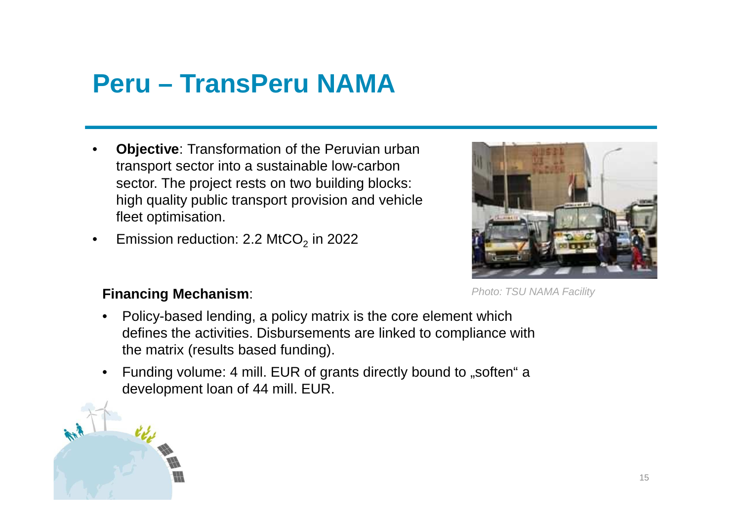# **Peru – TransPeru NAMA**

- •**Objective:** Transformation of the Peruvian urban transport sector into a sustainable low-carbon sector. The project rests on two building blocks: high quality public transport provision and vehiclefleet optimisation.
- $\bullet$ Emission reduction:  $2.2$  MtCO<sub>2</sub> in 2022



#### **Financing Mechanism**

- • Policy-based lending, a policy matrix is the core element which defines the activities. Disbursements are linked to compliance with the matrix (results based funding).
- •Funding volume: 4 mill. EUR of grants directly bound to "soften" a development loan of 44 mill. EUR.

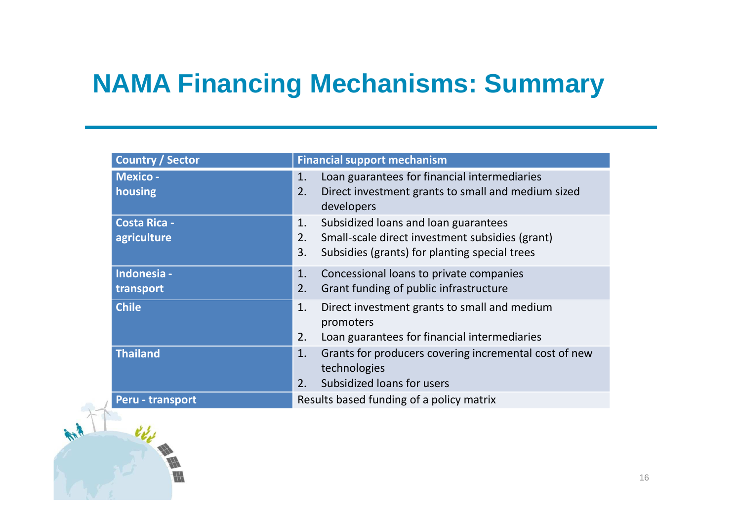## **NAMA Financing Mechanisms: Summary**

| <b>Country / Sector</b>            | <b>Financial support mechanism</b>                                                                                                                         |
|------------------------------------|------------------------------------------------------------------------------------------------------------------------------------------------------------|
| <b>Mexico -</b><br>housing         | Loan guarantees for financial intermediaries<br>1.<br>2.<br>Direct investment grants to small and medium sized<br>developers                               |
| <b>Costa Rica -</b><br>agriculture | Subsidized loans and loan guarantees<br>1.<br>Small-scale direct investment subsidies (grant)<br>2.<br>3.<br>Subsidies (grants) for planting special trees |
| Indonesia -<br>transport           | 1.<br>Concessional loans to private companies<br>Grant funding of public infrastructure<br>2.                                                              |
| <b>Chile</b>                       | Direct investment grants to small and medium<br>1.<br>promoters<br>2.<br>Loan guarantees for financial intermediaries                                      |
| <b>Thailand</b>                    | Grants for producers covering incremental cost of new<br>1.<br>technologies<br>Subsidized loans for users<br>2.                                            |
| Peru - transport                   | Results based funding of a policy matrix                                                                                                                   |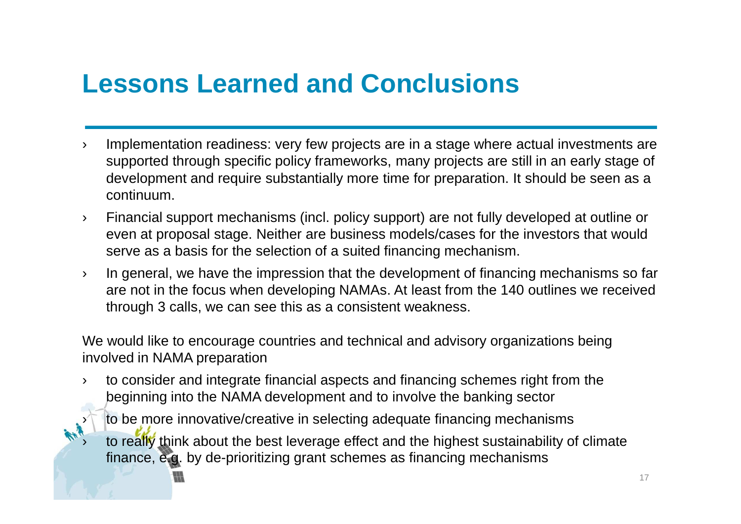# **Lessons Learned and Conclusions**

- › Implementation readiness: very few projects are in a stage where actual investments are supported through specific policy frameworks, many projects are still in an early stage of development and require substantially more time for preparation. It should be seen as a continuum.
- › Financial support mechanisms (incl. policy support) are not fully developed at outline or even at proposal stage. Neither are business models/cases for the investors that would serve as a basis for the selection of a suited financing mechanism.
- › In general, we have the impression that the development of financing mechanisms so far are not in the focus when developing NAMAs. At least from the 140 outlines we received through 3 calls, we can see this as a consistent weakness.

We would like to encourage countries and technical and advisory organizations being involved in NAMA preparation

- › to consider and integrate financial aspects and financing schemes right from the beginning into the NAMA development and to involve the banking sector
	- to be more innovative/creative in selecting adequate financing mechanisms

›

›

to really think about the best leverage effect and the highest sustainability of climate finance, e.g. by de-prioritizing grant schemes as financing mechanisms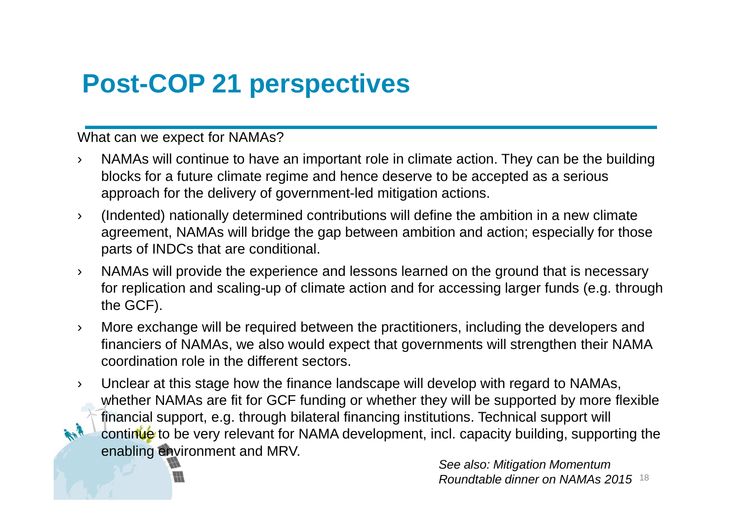## **Post-COP 21 perspectives**

What can we expect for NAMAs?

- › NAMAs will continue to have an important role in climate action. They can be the building blocks for a future climate regime and hence deserve to be accepted as a serious approach for the delivery of government-led mitigation actions.
- › (Indented) nationally determined contributions will define the ambition in a new climate agreement, NAMAs will bridge the gap between ambition and action; especially for those parts of INDCs that are conditional.
- › NAMAs will provide the experience and lessons learned on the ground that is necessary for replication and scaling-up of climate action and for accessing larger funds (e.g. through the GCF).
- › More exchange will be required between the practitioners, including the developers and financiers of NAMAs, we also would expect that governments will strengthen their NAMA coordination role in the different sectors.
- › Unclear at this stage how the finance landscape will develop with regard to NAMAs, whether NAMAs are fit for GCF funding or whether they will be supported by more flexible financial support, e.g. through bilateral financing institutions. Technical support will continue to be very relevant for NAMA development, incl. capacity building, supporting the enabling environment and MRV.

See also: Mitigation Momentum Roundtable dinner on NAMAs 2015  $^{18}$